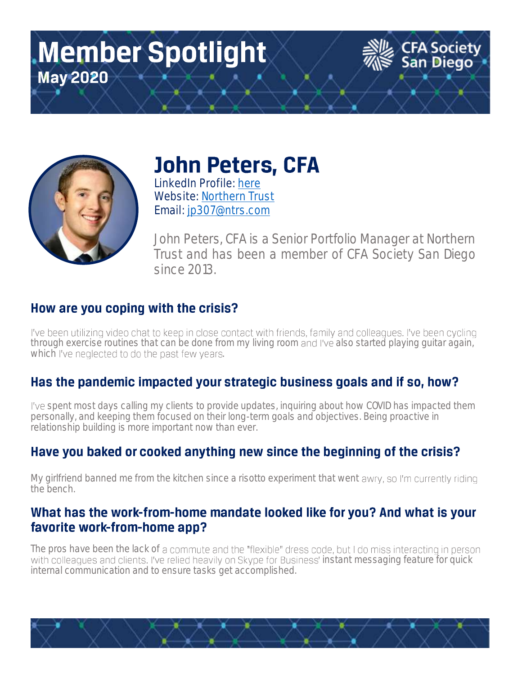# **Member Spotlight May 2020**



**John Peters, CFA** 

**LinkedIn Profile: [here](https://www.linkedin.com/in/john-m-peters-cfa-77807511/) Website: [Northern Trust](https://www.northerntrust.com/united-states/home) Email: [jp307@ntrs.com](mailto:jp307@ntrs.com)**

John Peters, CFA is a Senior Portfolio Manager at Northern *Trust and has been a member of CFA Society San Diego since 2013.*

**CFA Society**<br>San Diego

### How are you coping with the crisis?

I've been utilizing video chat to keep in close contact with friends, family and colleagues. I've been cycling through exercise routines that can be done from my living room and I've also started playing guitar again, which I've neglected to do the past few years.

## Has the pandemic impacted your strategic business goals and if so, how?

*spent most days calling my clients to provide updates, inquiring about how COVID has impacted them personally, and keeping them focused on their long-term goals and objectives. Being proactive in relationship building is more important now than ever.*

#### Have you baked or cooked anything new since the beginning of the crisis?

*My* girlfriend banned me from the kitchen since a risotto experiment that went awry, so I'm currently riding *the bench.*

#### What has the work-from-home mandate looked like for you? And what is your favorite work-from-home app?

The pros have been the lack of a commute and the "flexible" dress code, but I do miss interacting in person with colleagues and clients. I've relied heavily on Skype for Business' instant messaging feature for quick *internal communication and to ensure tasks get accomplished.*